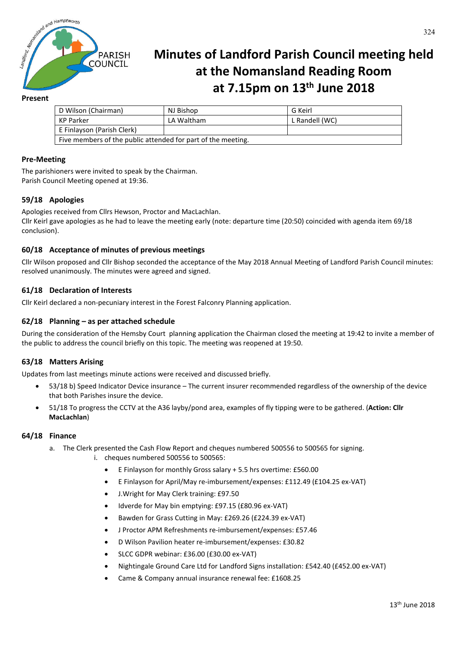

# **Minutes of Landford Parish Council meeting held at the Nomansland Reading Room at 7.15pm on 13th June 2018**

# **Present**

| D Wilson (Chairman)                                          | NJ Bishop  | G Keirl        |
|--------------------------------------------------------------|------------|----------------|
| KP Parker                                                    | LA Waltham | L Randell (WC) |
| E Finlayson (Parish Clerk)                                   |            |                |
| Five members of the public attended for part of the meeting. |            |                |

## **Pre-Meeting**

The parishioners were invited to speak by the Chairman. Parish Council Meeting opened at 19:36.

# **59/18 Apologies**

Apologies received from Cllrs Hewson, Proctor and MacLachlan. Cllr Keirl gave apologies as he had to leave the meeting early (note: departure time (20:50) coincided with agenda item 69/18 conclusion).

### **60/18 Acceptance of minutes of previous meetings**

Cllr Wilson proposed and Cllr Bishop seconded the acceptance of the May 2018 Annual Meeting of Landford Parish Council minutes: resolved unanimously. The minutes were agreed and signed.

### **61/18 Declaration of Interests**

Cllr Keirl declared a non-pecuniary interest in the Forest Falconry Planning application.

#### **62/18 Planning – as per attached schedule**

During the consideration of the Hemsby Court planning application the Chairman closed the meeting at 19:42 to invite a member of the public to address the council briefly on this topic. The meeting was reopened at 19:50.

#### **63/18 Matters Arising**

Updates from last meetings minute actions were received and discussed briefly.

- 53/18 b) Speed Indicator Device insurance The current insurer recommended regardless of the ownership of the device that both Parishes insure the device.
- 51/18 To progress the CCTV at the A36 layby/pond area, examples of fly tipping were to be gathered. (**Action: Cllr MacLachlan**)

#### **64/18 Finance**

- a. The Clerk presented the Cash Flow Report and cheques numbered 500556 to 500565 for signing.
	- i. cheques numbered 500556 to 500565:
		- E Finlayson for monthly Gross salary + 5.5 hrs overtime: £560.00
		- E Finlayson for April/May re-imbursement/expenses: £112.49 (£104.25 ex-VAT)
		- J.Wright for May Clerk training: £97.50
		- Idverde for May bin emptying: £97.15 (£80.96 ex-VAT)
		- Bawden for Grass Cutting in May: £269.26 (£224.39 ex-VAT)
		- J Proctor APM Refreshments re-imbursement/expenses: £57.46
		- D Wilson Pavilion heater re-imbursement/expenses: £30.82
		- SLCC GDPR webinar: £36.00 (£30.00 ex-VAT)
		- Nightingale Ground Care Ltd for Landford Signs installation: £542.40 (£452.00 ex-VAT)
		- Came & Company annual insurance renewal fee: £1608.25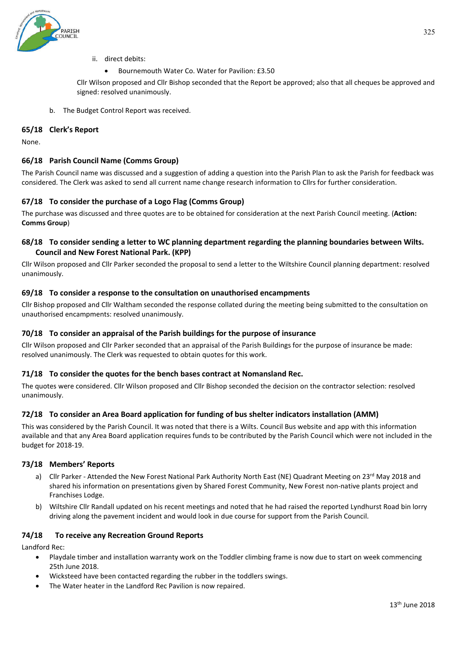

- ii. direct debits:
	- Bournemouth Water Co. Water for Pavilion: £3.50

Cllr Wilson proposed and Cllr Bishop seconded that the Report be approved; also that all cheques be approved and signed: resolved unanimously.

b. The Budget Control Report was received.

## **65/18 Clerk's Report**

None.

# **66/18 Parish Council Name (Comms Group)**

The Parish Council name was discussed and a suggestion of adding a question into the Parish Plan to ask the Parish for feedback was considered. The Clerk was asked to send all current name change research information to Cllrs for further consideration.

# **67/18 To consider the purchase of a Logo Flag (Comms Group)**

The purchase was discussed and three quotes are to be obtained for consideration at the next Parish Council meeting. (**Action: Comms Group**)

# **68/18 To consider sending a letter to WC planning department regarding the planning boundaries between Wilts. Council and New Forest National Park. (KPP)**

Cllr Wilson proposed and Cllr Parker seconded the proposal to send a letter to the Wiltshire Council planning department: resolved unanimously.

### **69/18 To consider a response to the consultation on unauthorised encampments**

Cllr Bishop proposed and Cllr Waltham seconded the response collated during the meeting being submitted to the consultation on unauthorised encampments: resolved unanimously.

# **70/18 To consider an appraisal of the Parish buildings for the purpose of insurance**

Cllr Wilson proposed and Cllr Parker seconded that an appraisal of the Parish Buildings for the purpose of insurance be made: resolved unanimously. The Clerk was requested to obtain quotes for this work.

#### **71/18 To consider the quotes for the bench bases contract at Nomansland Rec.**

The quotes were considered. Cllr Wilson proposed and Cllr Bishop seconded the decision on the contractor selection: resolved unanimously.

# **72/18 To consider an Area Board application for funding of bus shelter indicators installation (AMM)**

This was considered by the Parish Council. It was noted that there is a Wilts. Council Bus website and app with this information available and that any Area Board application requires funds to be contributed by the Parish Council which were not included in the budget for 2018-19.

#### **73/18 Members' Reports**

- a) Cllr Parker Attended the New Forest National Park Authority North East (NE) Quadrant Meeting on 23<sup>rd</sup> May 2018 and shared his information on presentations given by Shared Forest Community, New Forest non-native plants project and Franchises Lodge.
- b) Wiltshire Cllr Randall updated on his recent meetings and noted that he had raised the reported Lyndhurst Road bin lorry driving along the pavement incident and would look in due course for support from the Parish Council.

#### **74/18 To receive any Recreation Ground Reports**

Landford Rec:

- Playdale timber and installation warranty work on the Toddler climbing frame is now due to start on week commencing 25th June 2018.
- Wicksteed have been contacted regarding the rubber in the toddlers swings.
- The Water heater in the Landford Rec Pavilion is now repaired.